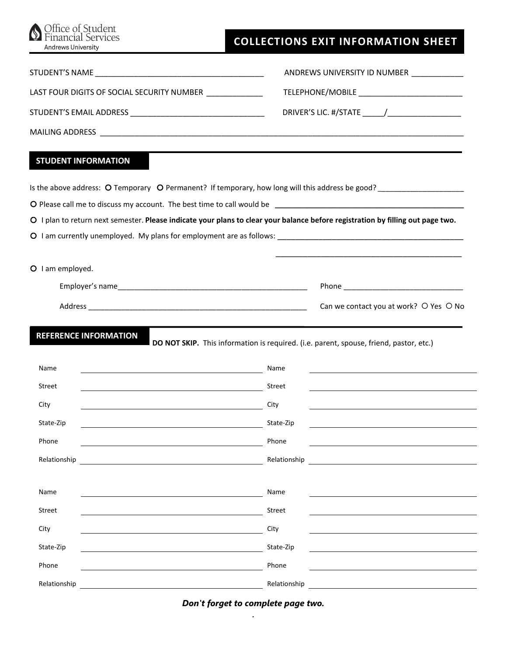| Office of Student<br>Services<br><b>Andrews University</b>                                                                            | <b>COLLECTIONS EXIT INFORMATION SHEET</b>                                                                                       |
|---------------------------------------------------------------------------------------------------------------------------------------|---------------------------------------------------------------------------------------------------------------------------------|
|                                                                                                                                       | ANDREWS UNIVERSITY ID NUMBER __________                                                                                         |
| LAST FOUR DIGITS OF SOCIAL SECURITY NUMBER ______________                                                                             |                                                                                                                                 |
|                                                                                                                                       |                                                                                                                                 |
|                                                                                                                                       |                                                                                                                                 |
| <b>STUDENT INFORMATION</b>                                                                                                            |                                                                                                                                 |
|                                                                                                                                       |                                                                                                                                 |
|                                                                                                                                       |                                                                                                                                 |
|                                                                                                                                       | O I plan to return next semester. Please indicate your plans to clear your balance before registration by filling out page two. |
|                                                                                                                                       |                                                                                                                                 |
|                                                                                                                                       |                                                                                                                                 |
| O I am employed.                                                                                                                      |                                                                                                                                 |
|                                                                                                                                       |                                                                                                                                 |
|                                                                                                                                       | Can we contact you at work? O Yes O No                                                                                          |
| <b>REFERENCE INFORMATION</b>                                                                                                          | DO NOT SKIP. This information is required. (i.e. parent, spouse, friend, pastor, etc.)                                          |
| Name                                                                                                                                  |                                                                                                                                 |
| Street<br><u> 1989 - Johann Barbara, martin amerikan basar dan basa dan basa dan basa dalam basa dan basa dalam basa dalam</u>        | Street                                                                                                                          |
| City                                                                                                                                  | City                                                                                                                            |
| State-Zip                                                                                                                             | State-Zip                                                                                                                       |
| Phone                                                                                                                                 | Phone                                                                                                                           |
| Relationship<br><u> 1989 - Johann Barbara, martin amerikan basar dan berasal dan berasal dalam basar dalam basar dalam basar dala</u> | Relationship                                                                                                                    |
| Name                                                                                                                                  | Name                                                                                                                            |
| <b>Street</b>                                                                                                                         | Street                                                                                                                          |
| City                                                                                                                                  | City                                                                                                                            |
| State-Zip<br><u> 1989 - Johann Barbara, martin a</u>                                                                                  | State-Zip                                                                                                                       |
| Phone                                                                                                                                 | Phone                                                                                                                           |
| Relationship                                                                                                                          | Relationship                                                                                                                    |

*Don't forget to complete page two.*  .